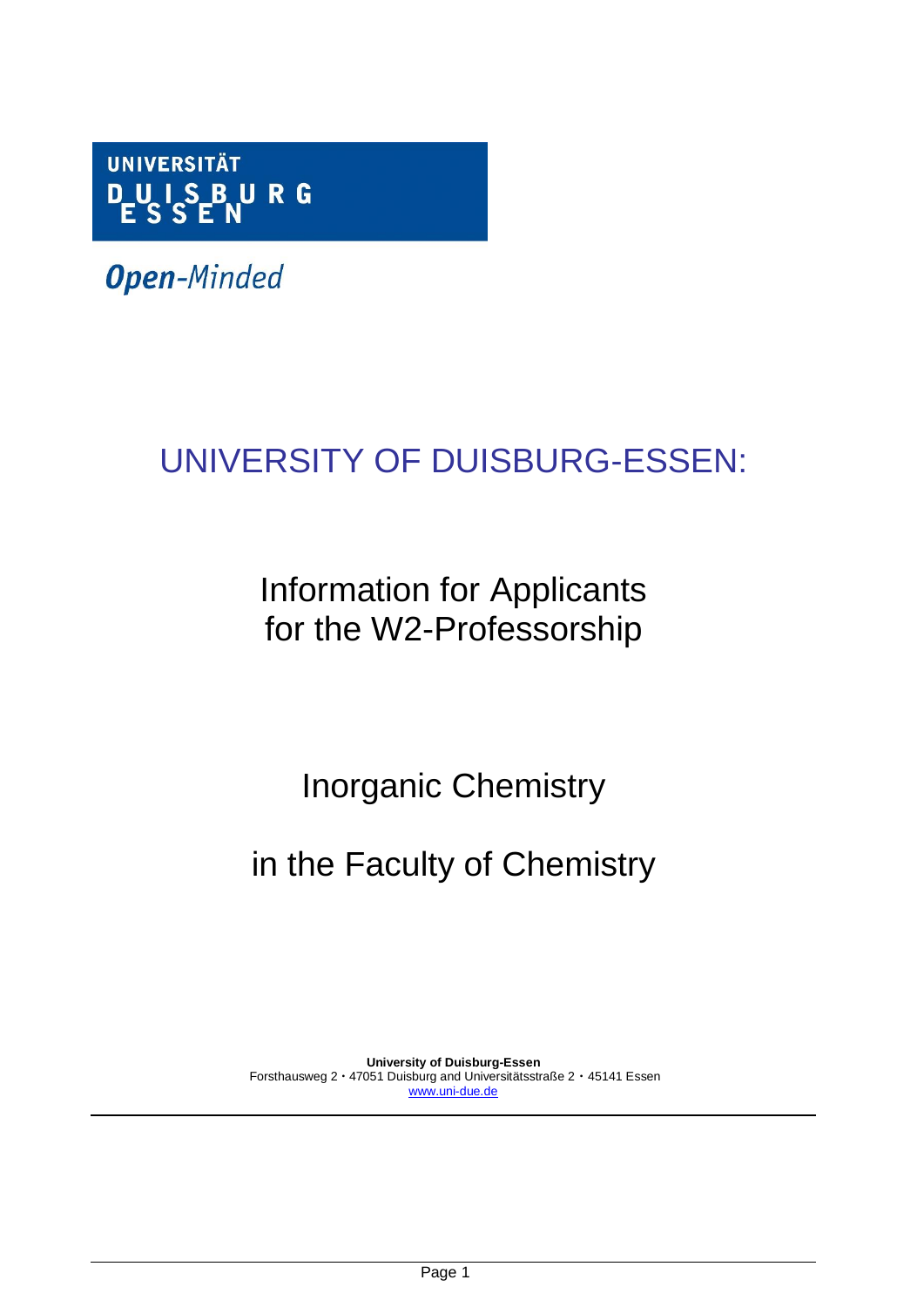

**Open-Minded** 

# UNIVERSITY OF DUISBURG-ESSEN:

## Information for Applicants for the W2-Professorship

## Inorganic Chemistry

## in the Faculty of Chemistry

**University of Duisburg-Essen** Forsthausweg 2 · 47051 Duisburg and Universitätsstraße 2 · 45141 Essen [www.uni-due.de](http://www.uni-due.de/)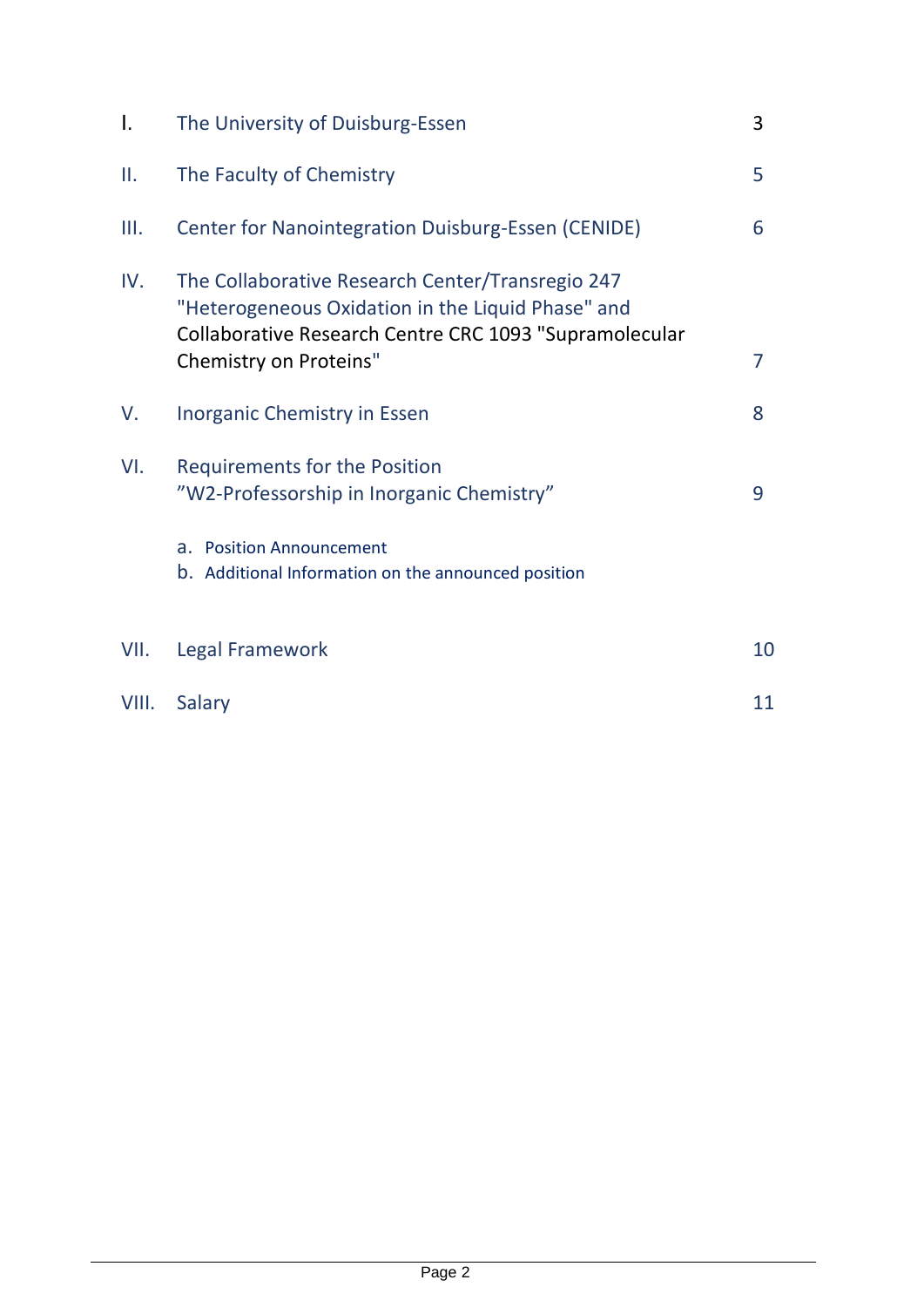| $\mathsf{L}$ | The University of Duisburg-Essen                                                                                                                                | 3              |
|--------------|-----------------------------------------------------------------------------------------------------------------------------------------------------------------|----------------|
| Ш.           | The Faculty of Chemistry                                                                                                                                        | 5              |
| III.         | <b>Center for Nanointegration Duisburg-Essen (CENIDE)</b>                                                                                                       | 6              |
| IV.          | The Collaborative Research Center/Transregio 247<br>"Heterogeneous Oxidation in the Liquid Phase" and<br>Collaborative Research Centre CRC 1093 "Supramolecular |                |
|              | Chemistry on Proteins"                                                                                                                                          | $\overline{7}$ |
| V.           | <b>Inorganic Chemistry in Essen</b>                                                                                                                             | 8              |
| VI.          | <b>Requirements for the Position</b><br>"W2-Professorship in Inorganic Chemistry"                                                                               | 9              |
|              | a. Position Announcement<br>b. Additional Information on the announced position                                                                                 |                |
| VII.         | Legal Framework                                                                                                                                                 | 10             |
| VIII.        | Salary                                                                                                                                                          | 11             |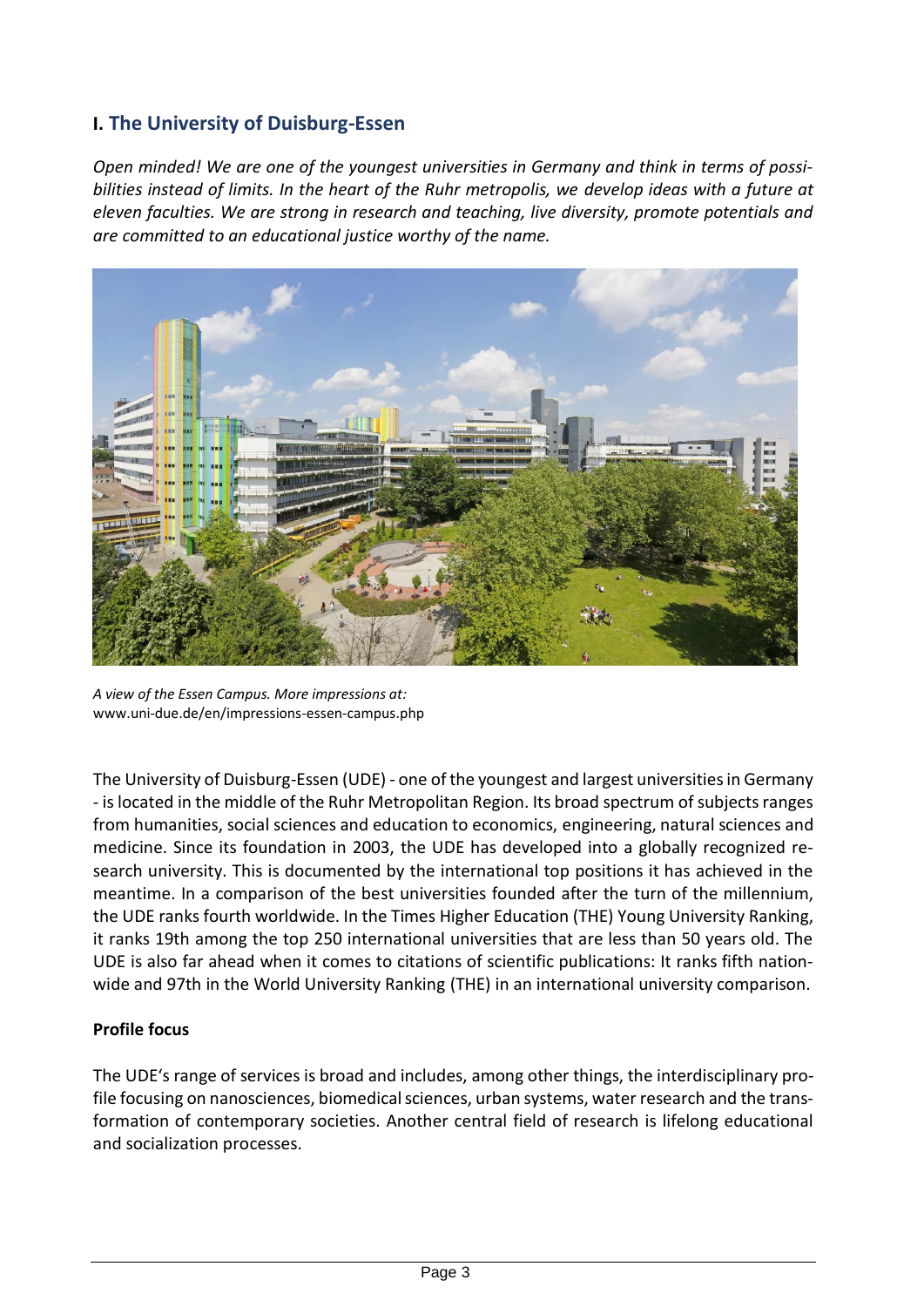#### **I. The University of Duisburg-Essen**

*Open minded! We are one of the youngest universities in Germany and think in terms of possibilities instead of limits. In the heart of the Ruhr metropolis, we develop ideas with a future at eleven faculties. We are strong in research and teaching, live diversity, promote potentials and are committed to an educational justice worthy of the name.*



*A view of the Essen Campus. More impressions at:*  www.uni-due.de/en/impressions-essen-campus.php

The University of Duisburg-Essen (UDE) - one of the youngest and largest universities in Germany - is located in the middle of the Ruhr Metropolitan Region. Its broad spectrum of subjects ranges from humanities, social sciences and education to economics, engineering, natural sciences and medicine. Since its foundation in 2003, the UDE has developed into a globally recognized research university. This is documented by the international top positions it has achieved in the meantime. In a comparison of the best universities founded after the turn of the millennium, the UDE ranks fourth worldwide. In the Times Higher Education (THE) Young University Ranking, it ranks 19th among the top 250 international universities that are less than 50 years old. The UDE is also far ahead when it comes to citations of scientific publications: It ranks fifth nationwide and 97th in the World University Ranking (THE) in an international university comparison.

#### **Profile focus**

The UDE's range of services is broad and includes, among other things, the interdisciplinary profile focusing on nanosciences, biomedical sciences, urban systems, water research and the transformation of contemporary societies. Another central field of research is lifelong educational and socialization processes.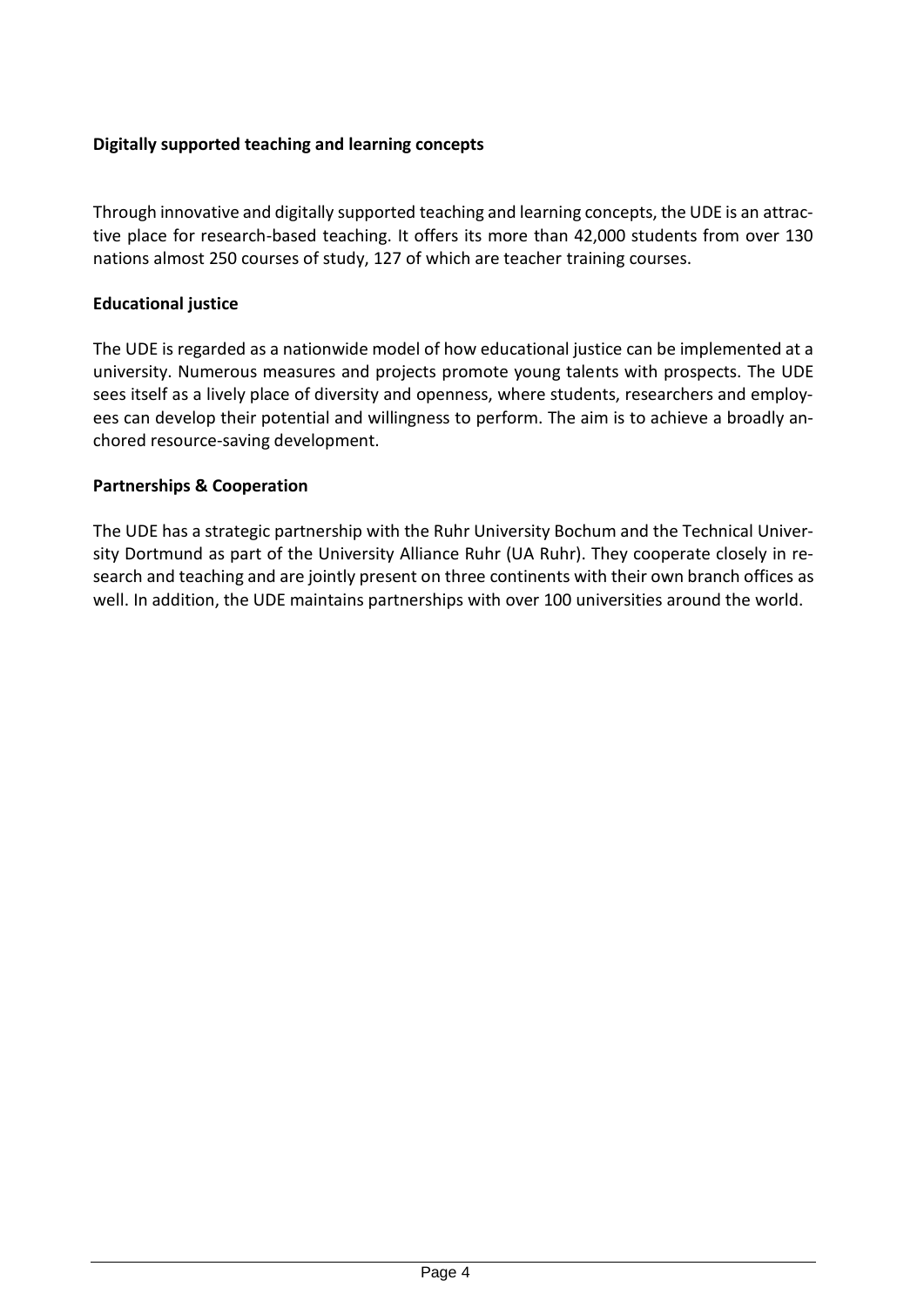#### **Digitally supported teaching and learning concepts**

Through innovative and digitally supported teaching and learning concepts, the UDE is an attractive place for research-based teaching. It offers its more than 42,000 students from over 130 nations almost 250 courses of study, 127 of which are teacher training courses.

#### **Educational justice**

The UDE is regarded as a nationwide model of how educational justice can be implemented at a university. Numerous measures and projects promote young talents with prospects. The UDE sees itself as a lively place of diversity and openness, where students, researchers and employees can develop their potential and willingness to perform. The aim is to achieve a broadly anchored resource-saving development.

#### **Partnerships & Cooperation**

The UDE has a strategic partnership with the Ruhr University Bochum and the Technical University Dortmund as part of the University Alliance Ruhr (UA Ruhr). They cooperate closely in research and teaching and are jointly present on three continents with their own branch offices as well. In addition, the UDE maintains partnerships with over 100 universities around the world.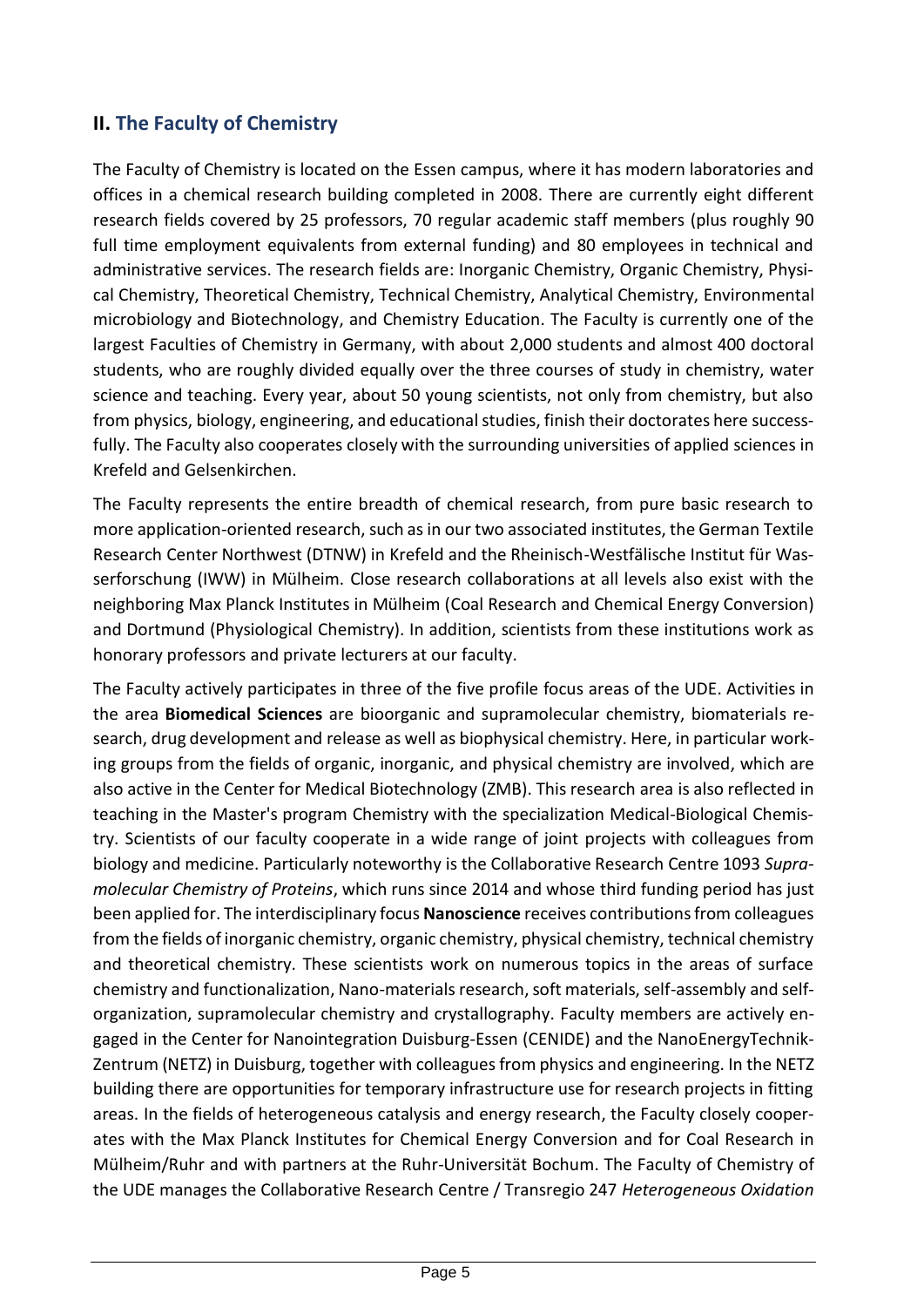#### **II. The Faculty of Chemistry**

The Faculty of Chemistry is located on the Essen campus, where it has modern laboratories and offices in a chemical research building completed in 2008. There are currently eight different research fields covered by 25 professors, 70 regular academic staff members (plus roughly 90 full time employment equivalents from external funding) and 80 employees in technical and administrative services. The research fields are: Inorganic Chemistry, Organic Chemistry, Physical Chemistry, Theoretical Chemistry, Technical Chemistry, Analytical Chemistry, Environmental microbiology and Biotechnology, and Chemistry Education. The Faculty is currently one of the largest Faculties of Chemistry in Germany, with about 2,000 students and almost 400 doctoral students, who are roughly divided equally over the three courses of study in chemistry, water science and teaching. Every year, about 50 young scientists, not only from chemistry, but also from physics, biology, engineering, and educational studies, finish their doctorates here successfully. The Faculty also cooperates closely with the surrounding universities of applied sciences in Krefeld and Gelsenkirchen.

The Faculty represents the entire breadth of chemical research, from pure basic research to more application-oriented research, such as in our two associated institutes, the German Textile Research Center Northwest (DTNW) in Krefeld and the Rheinisch-Westfälische Institut für Wasserforschung (IWW) in Mülheim. Close research collaborations at all levels also exist with the neighboring Max Planck Institutes in Mülheim (Coal Research and Chemical Energy Conversion) and Dortmund (Physiological Chemistry). In addition, scientists from these institutions work as honorary professors and private lecturers at our faculty.

The Faculty actively participates in three of the five profile focus areas of the UDE. Activities in the area **Biomedical Sciences** are bioorganic and supramolecular chemistry, biomaterials research, drug development and release as well as biophysical chemistry. Here, in particular working groups from the fields of organic, inorganic, and physical chemistry are involved, which are also active in the Center for Medical Biotechnology (ZMB). This research area is also reflected in teaching in the Master's program Chemistry with the specialization Medical-Biological Chemistry. Scientists of our faculty cooperate in a wide range of joint projects with colleagues from biology and medicine. Particularly noteworthy is the Collaborative Research Centre 1093 *Supramolecular Chemistry of Proteins*, which runs since 2014 and whose third funding period has just been applied for. The interdisciplinary focus **Nanoscience** receives contributions from colleagues from the fields of inorganic chemistry, organic chemistry, physical chemistry, technical chemistry and theoretical chemistry. These scientists work on numerous topics in the areas of surface chemistry and functionalization, Nano-materials research, soft materials, self-assembly and selforganization, supramolecular chemistry and crystallography. Faculty members are actively engaged in the Center for Nanointegration Duisburg-Essen (CENIDE) and the NanoEnergyTechnik-Zentrum (NETZ) in Duisburg, together with colleagues from physics and engineering. In the NETZ building there are opportunities for temporary infrastructure use for research projects in fitting areas. In the fields of heterogeneous catalysis and energy research, the Faculty closely cooperates with the Max Planck Institutes for Chemical Energy Conversion and for Coal Research in Mülheim/Ruhr and with partners at the Ruhr-Universität Bochum. The Faculty of Chemistry of the UDE manages the Collaborative Research Centre / Transregio 247 *Heterogeneous Oxidation*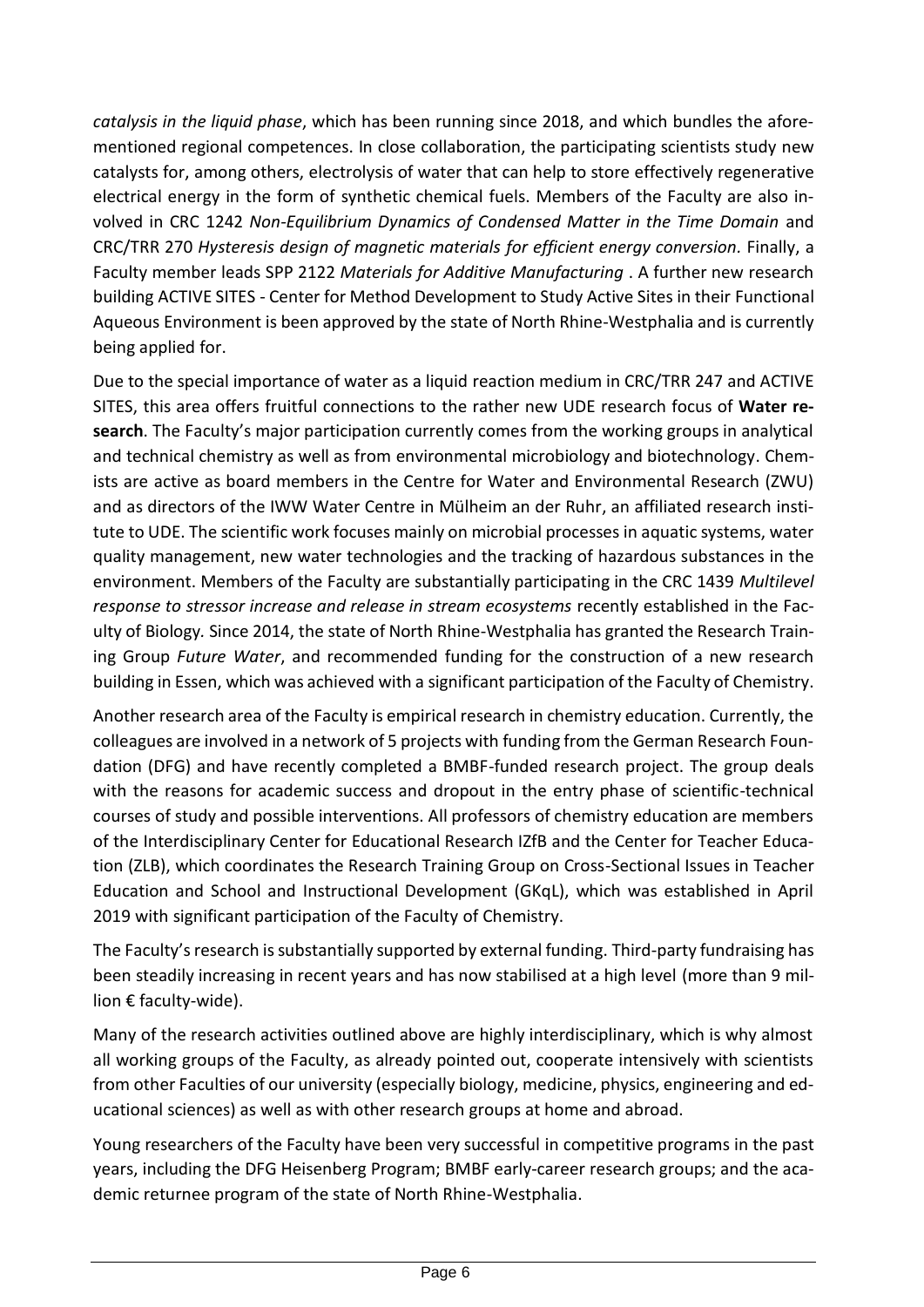*catalysis in the liquid phase*, which has been running since 2018, and which bundles the aforementioned regional competences. In close collaboration, the participating scientists study new catalysts for, among others, electrolysis of water that can help to store effectively regenerative electrical energy in the form of synthetic chemical fuels. Members of the Faculty are also involved in CRC 1242 *Non-Equilibrium Dynamics of Condensed Matter in the Time Domain* and CRC/TRR 270 *Hysteresis design of magnetic materials for efficient energy conversion.* Finally, a Faculty member leads SPP 2122 *Materials for Additive Manufacturing* . A further new research building ACTIVE SITES - Center for Method Development to Study Active Sites in their Functional Aqueous Environment is been approved by the state of North Rhine-Westphalia and is currently being applied for.

Due to the special importance of water as a liquid reaction medium in CRC/TRR 247 and ACTIVE SITES, this area offers fruitful connections to the rather new UDE research focus of **Water research**. The Faculty's major participation currently comes from the working groups in analytical and technical chemistry as well as from environmental microbiology and biotechnology. Chemists are active as board members in the Centre for Water and Environmental Research (ZWU) and as directors of the IWW Water Centre in Mülheim an der Ruhr, an affiliated research institute to UDE. The scientific work focuses mainly on microbial processes in aquatic systems, water quality management, new water technologies and the tracking of hazardous substances in the environment. Members of the Faculty are substantially participating in the CRC 1439 *Multilevel response to stressor increase and release in stream ecosystems* recently established in the Faculty of Biology*.* Since 2014, the state of North Rhine-Westphalia has granted the Research Training Group *Future Water*, and recommended funding for the construction of a new research building in Essen, which was achieved with a significant participation of the Faculty of Chemistry.

Another research area of the Faculty is empirical research in chemistry education. Currently, the colleagues are involved in a network of 5 projects with funding from the German Research Foundation (DFG) and have recently completed a BMBF-funded research project. The group deals with the reasons for academic success and dropout in the entry phase of scientific-technical courses of study and possible interventions. All professors of chemistry education are members of the Interdisciplinary Center for Educational Research IZfB and the Center for Teacher Education (ZLB), which coordinates the Research Training Group on Cross-Sectional Issues in Teacher Education and School and Instructional Development (GKqL), which was established in April 2019 with significant participation of the Faculty of Chemistry.

The Faculty's research is substantially supported by external funding. Third-party fundraising has been steadily increasing in recent years and has now stabilised at a high level (more than 9 million € faculty-wide).

Many of the research activities outlined above are highly interdisciplinary, which is why almost all working groups of the Faculty, as already pointed out, cooperate intensively with scientists from other Faculties of our university (especially biology, medicine, physics, engineering and educational sciences) as well as with other research groups at home and abroad.

Young researchers of the Faculty have been very successful in competitive programs in the past years, including the DFG Heisenberg Program; BMBF early-career research groups; and the academic returnee program of the state of North Rhine-Westphalia.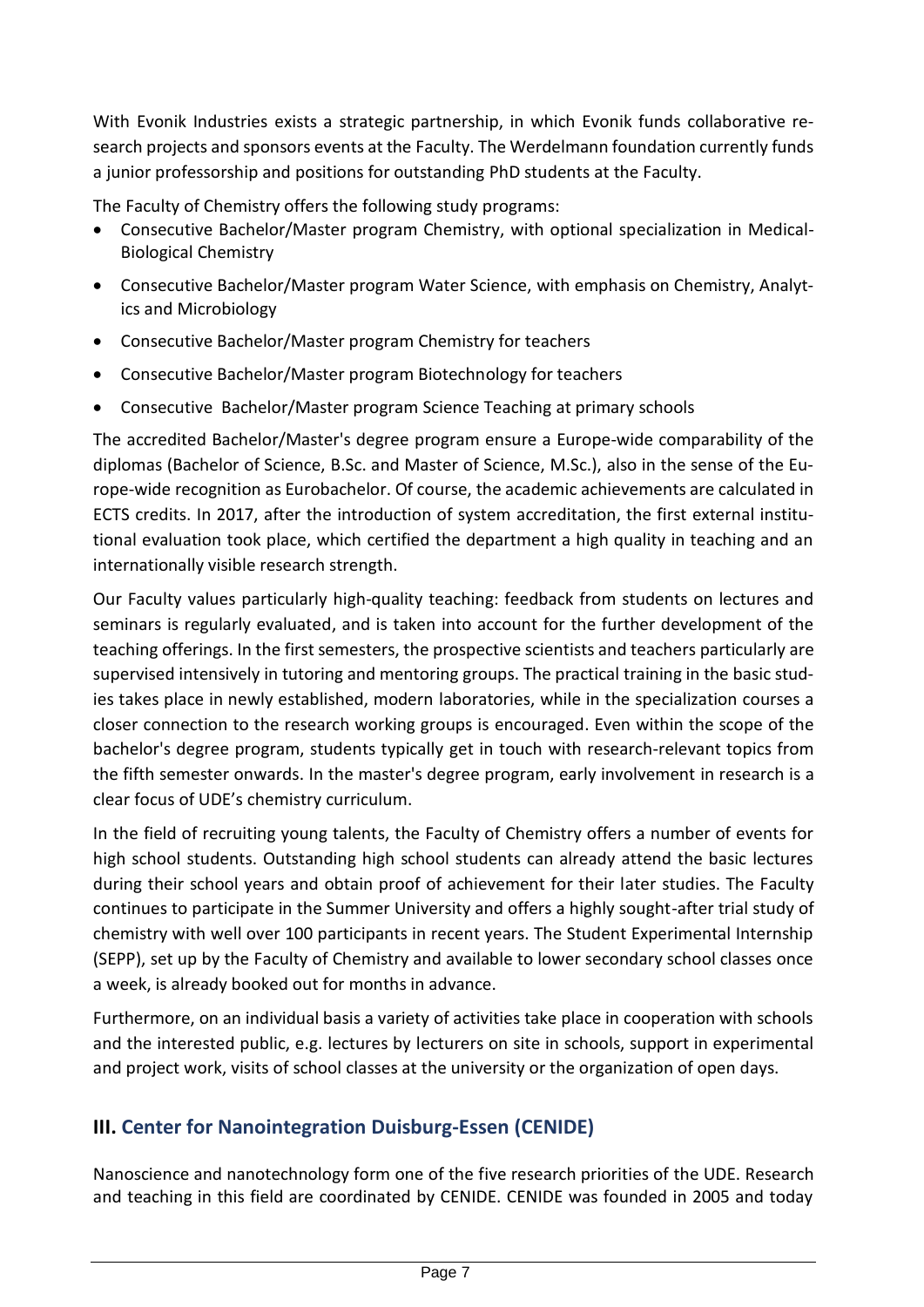With Evonik Industries exists a strategic partnership, in which Evonik funds collaborative research projects and sponsors events at the Faculty. The Werdelmann foundation currently funds a junior professorship and positions for outstanding PhD students at the Faculty.

The Faculty of Chemistry offers the following study programs:

- Consecutive Bachelor/Master program Chemistry, with optional specialization in Medical-Biological Chemistry
- Consecutive Bachelor/Master program Water Science, with emphasis on Chemistry, Analytics and Microbiology
- Consecutive Bachelor/Master program Chemistry for teachers
- Consecutive Bachelor/Master program Biotechnology for teachers
- Consecutive Bachelor/Master program Science Teaching at primary schools

The accredited Bachelor/Master's degree program ensure a Europe-wide comparability of the diplomas (Bachelor of Science, B.Sc. and Master of Science, M.Sc.), also in the sense of the Europe-wide recognition as Eurobachelor. Of course, the academic achievements are calculated in ECTS credits. In 2017, after the introduction of system accreditation, the first external institutional evaluation took place, which certified the department a high quality in teaching and an internationally visible research strength.

Our Faculty values particularly high-quality teaching: feedback from students on lectures and seminars is regularly evaluated, and is taken into account for the further development of the teaching offerings. In the first semesters, the prospective scientists and teachers particularly are supervised intensively in tutoring and mentoring groups. The practical training in the basic studies takes place in newly established, modern laboratories, while in the specialization courses a closer connection to the research working groups is encouraged. Even within the scope of the bachelor's degree program, students typically get in touch with research-relevant topics from the fifth semester onwards. In the master's degree program, early involvement in research is a clear focus of UDE's chemistry curriculum.

In the field of recruiting young talents, the Faculty of Chemistry offers a number of events for high school students. Outstanding high school students can already attend the basic lectures during their school years and obtain proof of achievement for their later studies. The Faculty continues to participate in the Summer University and offers a highly sought-after trial study of chemistry with well over 100 participants in recent years. The Student Experimental Internship (SEPP), set up by the Faculty of Chemistry and available to lower secondary school classes once a week, is already booked out for months in advance.

Furthermore, on an individual basis a variety of activities take place in cooperation with schools and the interested public, e.g. lectures by lecturers on site in schools, support in experimental and project work, visits of school classes at the university or the organization of open days.

## **III. Center for Nanointegration Duisburg-Essen (CENIDE)**

Nanoscience and nanotechnology form one of the five research priorities of the UDE. Research and teaching in this field are coordinated by CENIDE. CENIDE was founded in 2005 and today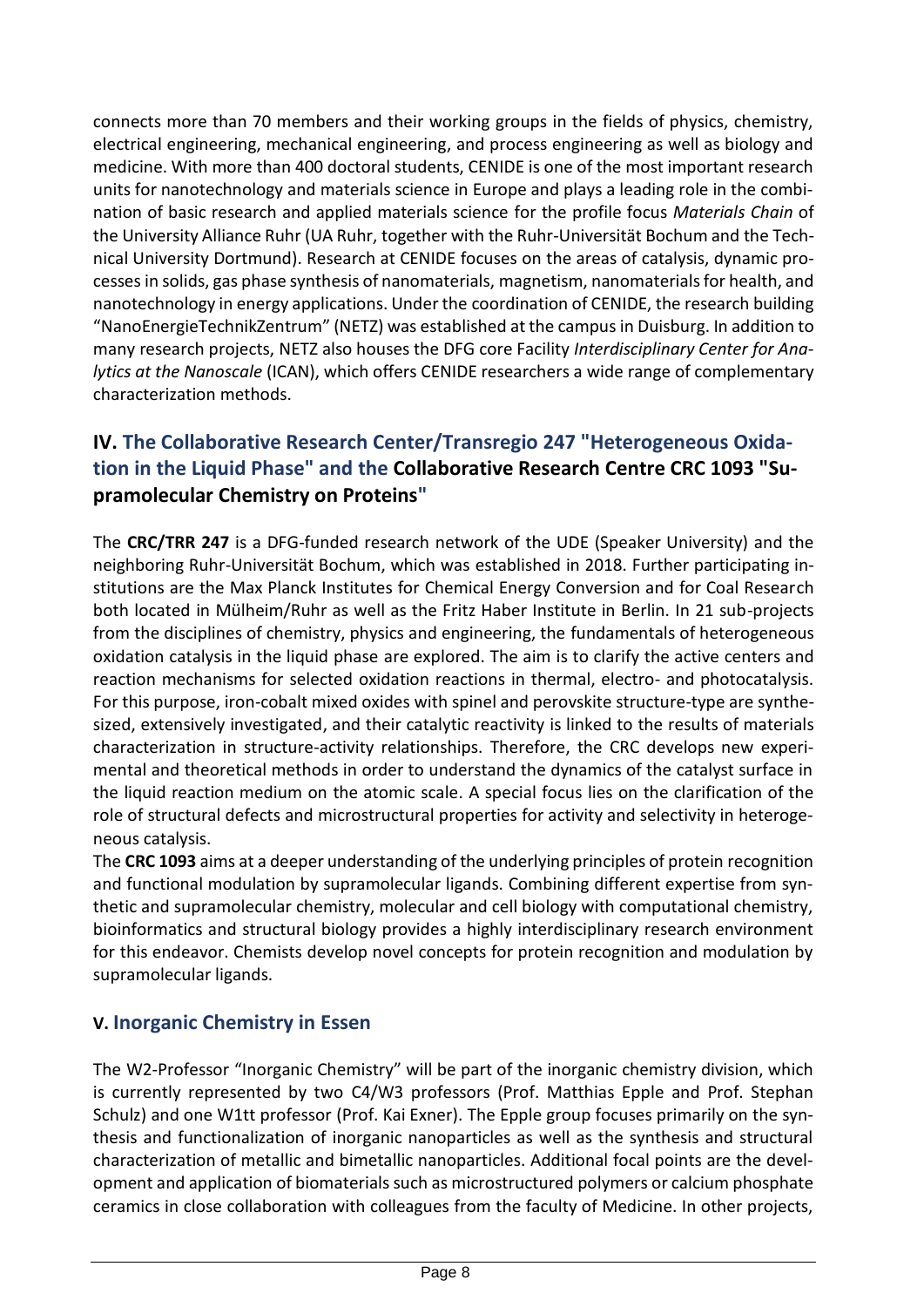connects more than 70 members and their working groups in the fields of physics, chemistry, electrical engineering, mechanical engineering, and process engineering as well as biology and medicine. With more than 400 doctoral students, CENIDE is one of the most important research units for nanotechnology and materials science in Europe and plays a leading role in the combination of basic research and applied materials science for the profile focus *Materials Chain* of the University Alliance Ruhr (UA Ruhr, together with the Ruhr-Universität Bochum and the Technical University Dortmund). Research at CENIDE focuses on the areas of catalysis, dynamic processes in solids, gas phase synthesis of nanomaterials, magnetism, nanomaterials for health, and nanotechnology in energy applications. Under the coordination of CENIDE, the research building "NanoEnergieTechnikZentrum" (NETZ) was established at the campus in Duisburg. In addition to many research projects, NETZ also houses the DFG core Facility *Interdisciplinary Center for Analytics at the Nanoscale* (ICAN), which offers CENIDE researchers a wide range of complementary characterization methods.

### **IV. The Collaborative Research Center/Transregio 247 "Heterogeneous Oxidation in the Liquid Phase" and the Collaborative Research Centre CRC 1093 "Supramolecular Chemistry on Proteins"**

The **CRC/TRR 247** is a DFG-funded research network of the UDE (Speaker University) and the neighboring Ruhr-Universität Bochum, which was established in 2018. Further participating institutions are the Max Planck Institutes for Chemical Energy Conversion and for Coal Research both located in Mülheim/Ruhr as well as the Fritz Haber Institute in Berlin. In 21 sub-projects from the disciplines of chemistry, physics and engineering, the fundamentals of heterogeneous oxidation catalysis in the liquid phase are explored. The aim is to clarify the active centers and reaction mechanisms for selected oxidation reactions in thermal, electro- and photocatalysis. For this purpose, iron-cobalt mixed oxides with spinel and perovskite structure-type are synthesized, extensively investigated, and their catalytic reactivity is linked to the results of materials characterization in structure-activity relationships. Therefore, the CRC develops new experimental and theoretical methods in order to understand the dynamics of the catalyst surface in the liquid reaction medium on the atomic scale. A special focus lies on the clarification of the role of structural defects and microstructural properties for activity and selectivity in heterogeneous catalysis.

The **CRC 1093** aims at a deeper understanding of the underlying principles of protein recognition and functional modulation by supramolecular ligands. Combining different expertise from synthetic and supramolecular chemistry, molecular and cell biology with computational chemistry, bioinformatics and structural biology provides a highly interdisciplinary research environment for this endeavor. Chemists develop novel concepts for protein recognition and modulation by supramolecular ligands.

#### **V. Inorganic Chemistry in Essen**

The W2-Professor "Inorganic Chemistry" will be part of the inorganic chemistry division, which is currently represented by two C4/W3 professors (Prof. Matthias Epple and Prof. Stephan Schulz) and one W1tt professor (Prof. Kai Exner). The Epple group focuses primarily on the synthesis and functionalization of inorganic nanoparticles as well as the synthesis and structural characterization of metallic and bimetallic nanoparticles. Additional focal points are the development and application of biomaterials such as microstructured polymers or calcium phosphate ceramics in close collaboration with colleagues from the faculty of Medicine. In other projects,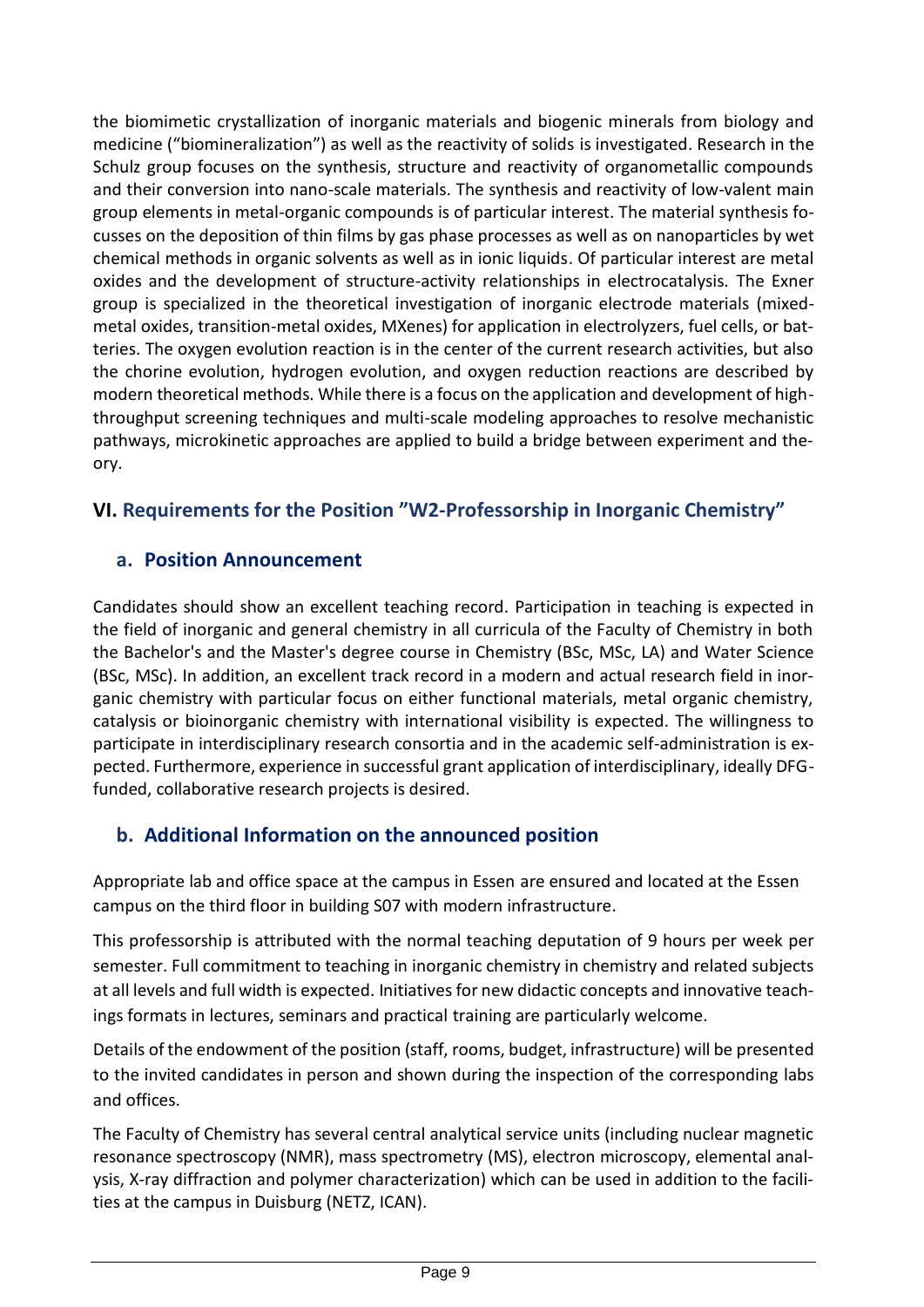the biomimetic crystallization of inorganic materials and biogenic minerals from biology and medicine ("biomineralization") as well as the reactivity of solids is investigated. Research in the Schulz group focuses on the synthesis, structure and reactivity of organometallic compounds and their conversion into nano-scale materials. The synthesis and reactivity of low-valent main group elements in metal-organic compounds is of particular interest. The material synthesis focusses on the deposition of thin films by gas phase processes as well as on nanoparticles by wet chemical methods in organic solvents as well as in ionic liquids. Of particular interest are metal oxides and the development of structure-activity relationships in electrocatalysis. The Exner group is specialized in the theoretical investigation of inorganic electrode materials (mixedmetal oxides, transition-metal oxides, MXenes) for application in electrolyzers, fuel cells, or batteries. The oxygen evolution reaction is in the center of the current research activities, but also the chorine evolution, hydrogen evolution, and oxygen reduction reactions are described by modern theoretical methods. While there is a focus on the application and development of highthroughput screening techniques and multi-scale modeling approaches to resolve mechanistic pathways, microkinetic approaches are applied to build a bridge between experiment and theory.

### **VI. Requirements for the Position "W2-Professorship in Inorganic Chemistry"**

#### **a. Position Announcement**

Candidates should show an excellent teaching record. Participation in teaching is expected in the field of inorganic and general chemistry in all curricula of the Faculty of Chemistry in both the Bachelor's and the Master's degree course in Chemistry (BSc, MSc, LA) and Water Science (BSc, MSc). In addition, an excellent track record in a modern and actual research field in inorganic chemistry with particular focus on either functional materials, metal organic chemistry, catalysis or bioinorganic chemistry with international visibility is expected. The willingness to participate in interdisciplinary research consortia and in the academic self-administration is expected. Furthermore, experience in successful grant application of interdisciplinary, ideally DFGfunded, collaborative research projects is desired.

### **b. Additional Information on the announced position**

Appropriate lab and office space at the campus in Essen are ensured and located at the Essen campus on the third floor in building S07 with modern infrastructure.

This professorship is attributed with the normal teaching deputation of 9 hours per week per semester. Full commitment to teaching in inorganic chemistry in chemistry and related subjects at all levels and full width is expected. Initiatives for new didactic concepts and innovative teachings formats in lectures, seminars and practical training are particularly welcome.

Details of the endowment of the position (staff, rooms, budget, infrastructure) will be presented to the invited candidates in person and shown during the inspection of the corresponding labs and offices.

The Faculty of Chemistry has several central analytical service units (including nuclear magnetic resonance spectroscopy (NMR), mass spectrometry (MS), electron microscopy, elemental analysis, X-ray diffraction and polymer characterization) which can be used in addition to the facilities at the campus in Duisburg (NETZ, ICAN).